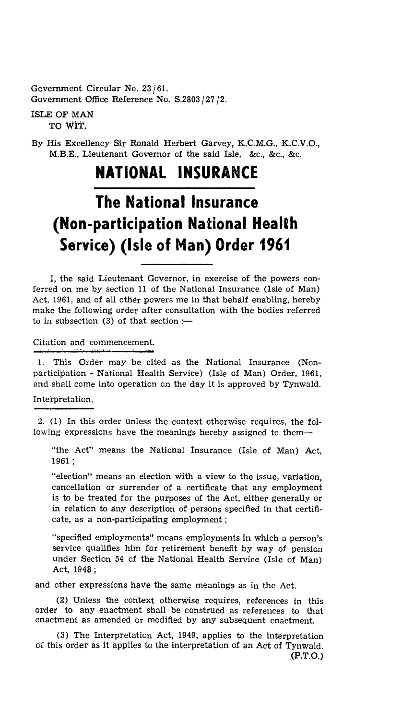Government Circular No. 23 /61. Government Office Reference No. S.2803 /27 /2.

#### ISLE OF MAN TO **WIT.**

By His Excellency Sir Ronald Herbert Garvey, K.C.M.G., K.C.V.O., M.B.E., Lieutenant Governor of the said Isle, &c., &c., &c.

## **NATIONAL INSURANCE**

# **The National Insurance (Non-participation National Health Service) (Isle of Man) Order 1961**

I, the said Lieutenant Governor, in exercise of the powers conferred on me by section 11 of the National Insurance (Isle of Man) Act, 1961, and of all other powers me in that behalf enabling, hereby make the following order after consultation with the bodies referred to in subsection (3) of that section :—

#### Citation and commencement.

This Order may be cited as the National Insurance (Nonparticipation - National Health Service) (Isle of Man) Order, 1961, and shall come into operation on the day it is approved by Tynwald.

#### Interpretation.

2. (1) In this order unless the context otherwise requires, the following expressions have the meanings hereby assigned to them—

"the Act" means the National Insurance (Isle of Man) Act, 1961 ;

"election" means an election with a view to the issue, variation, cancellation or surrender of a certificate that any employment is to be treated for the purposes of the Act, either generally or in relation to any description of persons specified in that certificate, as a non-participating employment ;

"specified employments" means employments in which a person's service qualifies him for retirement benefit by way of pension under Section 54 of the National Health Service (Isle of Man) Act, 1948 ;

and other expressions have the same meanings as in the Act.

(2) Unless the context otherwise requires, references in this order to any enactment shall be construed as references to that enactment as amended or modified by any subsequent enactment.

(3) The Interpretation Act, 1949, applies to the interpretation of this order as it applies to the interpretation of an Act of Tynwald. **(P.T.O.)**